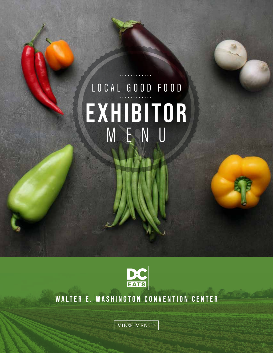# exhibitor MENU LOCAL GOOD FOOD



### WALTER E. WASHINGTON CONVENTION CENTER

VIEW MENU »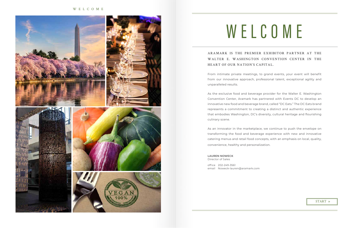**ARAMARK IS THE PREMIER EXHIBITOR PARTNER AT THE WALTER E. WASHINGTON CONVENTION CENTER IN THE** 

# **HEART OF OUR NATION'S CAPITAL.**

From intimate private meetings, to grand events, your event will benefit from our innovative approach, professional talent, exceptional agility and unparalleled results.

As the exclusive food and beverage provider for the Walter E. Washington Convention Center, Aramark has partnered with Events DC to develop an innovative new food and beverage brand, called "DC Eats." The DC Eats brand represents a commitment to creating a distinct and authentic experience that embodies Washington, DC's diversity, cultural heritage and flourishing culinary scene.

As an innovator in the marketplace, we continue to push the envelope on transforming the food and beverage experience with new and innovative catering menus and retail food concepts, with an emphasis on local, quality, convenience, healthy and personalization.

### **LAUREN NOWECK**

Director of Sales

office 202-249-3561 email Noweck-lauren@aramark.com



# WELCOME

#### START »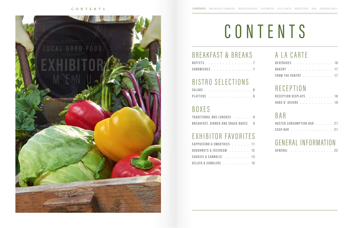| BUFFETS. 7    |  |  |  |  |  |  |  |  |
|---------------|--|--|--|--|--|--|--|--|
| SANDWICHES. 7 |  |  |  |  |  |  |  |  |

# BISTRO SELECTIONS

| SALADS 8   |  |  |  |  |  |  |  |  |
|------------|--|--|--|--|--|--|--|--|
| PLATTERS 8 |  |  |  |  |  |  |  |  |

# BOXES

| TRADITIONAL BOX LUNCHES 9           |  |  |  |
|-------------------------------------|--|--|--|
| BREAKFAST, DINNER AND SNACK BOXES 9 |  |  |  |

# EXHIBITOR FAVORITES

| CAPPUCCINO & SMOOTHIES 11 |  |  |  |  |
|---------------------------|--|--|--|--|
| DOUGHNUTS & ICECREAM 12   |  |  |  |  |
| COOKIES & CANNOLIS 13     |  |  |  |  |
| GELATO & COBBLERS 15      |  |  |  |  |

# RECEPTION

| RECEPTION DISPLAYS 18 |  |  |  |  |  |  |  |
|-----------------------|--|--|--|--|--|--|--|
| HORS D' OEUVRE 19     |  |  |  |  |  |  |  |

# BAR

| <b>HOSTED CONSUMPTION BAR 21</b> |  |  |  |  |  |  |  |  |
|----------------------------------|--|--|--|--|--|--|--|--|
| CASH BAR 21                      |  |  |  |  |  |  |  |  |

# **GENERAL INFORMATION**

# CONTENTS

| BEVERAGES 16       |  |  |  |  |  |  |
|--------------------|--|--|--|--|--|--|
| BAKERY 17          |  |  |  |  |  |  |
| FROM THE PANTRY 17 |  |  |  |  |  |  |

# BREAKFAST & BREAKS A LA CARTE

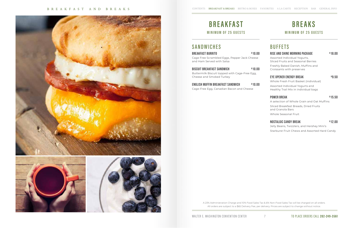

A 23% Administration Charge and 10% Food Sales Tax & 6% Non-Food Sales Tax will be charged on all orders. All orders are subject to a \$65 Delivery Fee, per delivery. Prices are subject to change without notice.

### **BUFFETS**

### Rise and Shine Morning Package **\$**18.00 Assorted Individual Yogurts, Sliced Fruits and Seasonal Berries Freshly Baked Danish, Muffins and Croissants with preserves Eye Opener Energy Break **\$**9.50 Whole Fresh Fruit Basket (individual) Assorted Individual Yogurts and Healthy Trail Mix in individual bags **POWER BREAK**  $\frac{1}{5}$  **\$15.50** A selection of Whole Grain and Oat Muffins

BREAKFAST BURRITO **\$10.00** Cage Free Scrambled Eggs, Pepper Jack Cheese and Ham Served with Salsa

### MINIMUM OF 25 GUESTS MINIMUM OF 25 GUESTS B R E A K F A S T R E A K S

Sliced Breakfast Breads, Dried Fruits and Granola Bars Whole Seasonal Fruit

### Nostalgic Candy Break **\$**12.00

Jelly Beans, Twizzlers, and Hershey Mini's Starburst Fruit Chews and Assorted Hard Candy

### **SANDWICHES**

Biscuit Breakfast Sandwich **\$**10.00 Buttermilk Biscuit topped with Cage-Free Egg, Cheese and Smoked Turkey

### English Muffin Breakfast Sandwich **\$**10.00

Cage-Free Egg, Canadian Bacon and Cheese

WALTER E. WASHINGTON CONVENTION CENTER TO TURNER TO PLACE ORDERS CALL 202-249-3561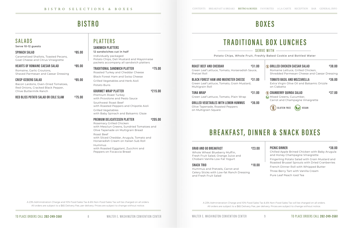# **BISTRO**

A 23% Administration Charge and 10% Food Sales Tax & 6% Non-Food Sales Tax will be charged on all orders. All orders are subject to a \$65 Delivery Fee, per delivery. Prices are subject to change without notice.

**S A L A D S** 

**Serve 10-12 guests**

Spinach Salad **\$**85.00

Caramelized Shallots, Toasted Pecans, Goat Cheese and Citrus Vinaigrette

Hearts of Romaine Caesar Salad **\$**85.00

Romaine, Garlic Croutons,

Shaved Parmesan and Caesar Dressing

Crisp Iceberg Salad **\$**85.00

Bacon Lardons, Oven-Dried Tomatoes, Red Onions, Cracked Black Pepper,

Chive Buttermilk Ranch

Red Bliss Potato Salad or Cole Slaw **\$**75.00

**PLAT TERS**

**12 sandwiches cut in half** Individually packaged

Potato Chips, Deli Mustard and Mayonnaise packets accompany all sandwich platters

Traditional Sandwich Platter **\$**75.00

Roasted Turkey and Cheddar Cheese Black Forest Ham and Swiss Cheese Grilled Vegetables and Herb Aioli

Potato Buns

Gourmet Wrap Platter **\$**215.00

Premium Roast Turkey

with Provolone and Pesto Sauce

Southwest Roast Beef

with Roasted Peppers and Chipotle Aioli

Grilled Vegetables

with Baby Spinach and Balsamic Glaze

**Mixed Greens, Cucumber,** Carrot and Champagne Vinaigrette

 $\Im$  GLUTEN FREE  $\bigcirc$  VEGAN

Premium Delicatessen Platter **\$**205.00

Rosemary Grilled Chicken

with Mesclun Greens, Sundried Tomatoes and

Olive Tapenade on Multigrain Bread

Roast Beef

with Sliced Cheddar, Arugula, Tomato and Horseradish Cream on Italian Sub Roll

Hummus

with Roasted Eggplant, Zucchini and

SANDWICH PLATTERS

Peppers on Focaccia Bread

# **BRE AKFA ST, DINNER & SNACK BOXE S**

A 23% Administration Charge and 10% Food Sales Tax & 6% Non-Food Sales Tax will be charged on all orders. All orders are subject to a \$65 Delivery Fee, per delivery. Prices are subject to change without notice.

| <b>ROAST BEEF AND CHEDDAR</b><br>Green Leaf Lettuce, Tomato, Horseradish Sauce,<br>Pretzel Roll              | \$31.00 |
|--------------------------------------------------------------------------------------------------------------|---------|
| <b>BLACK FOREST HAM AND MUENSTER CHEESE</b><br>Green Leaf Lettuce, Tomato, Grain Mustard,<br>Multigrain Roll | \$31.00 |
| <b>TUNA WRAP</b><br>Green Leaf Lettuce, Tomato, Plain Wrap                                                   | \$31.00 |
| <b>GRILLED VEGETABLES WITH LEMON HUMMUS</b>                                                                  | \$36.00 |

Olive Tapenade, Roasted Peppers on Multigrain Square



Grab and Go Breakfast **\$**23.00

Whole Wheat Blueberry Muffin, Fresh Fruit Salad, Orange Juice and Chobani Vanilla Low Fat Yogurt

#### Snack Trio **\$**18.00

Hummus and Pretzels, Carrot and Celery Sticks with Low-fat Ranch Dressing and Fresh Fruit Salad

# **T R A D I T I O N A L B O X L U N C H E S**

# **BOXES**

### $-$  SERVE WITH  $-$

### Picnic Dinner **\$**38.00

Chilled Apple Brined Chicken with Baby Arugula and Honey Champagne Vinaigrette Fingerling Potato Salad with Grain Mustard and Roasted Brussel Sprouts with Dried Cranberries French Dinner Roll with Whipped Butter Three Berry Tart with Vanilla Cream Pure Leaf Peach Iced Tea

Potato Chips, Whole Fruit, Freshly Baked Cookie and Bottled Water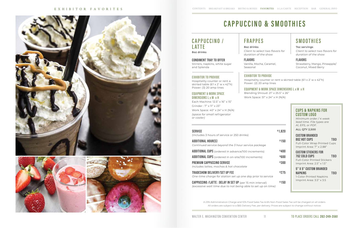#### E X H I B I T O R F A V O R I T E S



### **CAPPUCCINO / LAT TE**

**8oz drinks**

#### Condiment tray to offer

Stirrers, napkins, white sugar and Splenda

# **CAPPUCCINO & SMOOTHIES**

A 23% Administration Charge and 10% Food Sales Tax & 6% Non-Food Sales Tax will be charged on all orders. All orders are subject to a \$65 Delivery Fee, per delivery. Prices are subject to change without notice.

Exhibitor to Provide

#### **FLAVORS** Vanilla, Mocha, Caramel, Seasonal

Hospitality counter or rent a skirted table (6'l x 2' w x 42"h) Power: (3) 20 amp lines

Equipment & Work Space Dimensions L x W x H

Each Machine: 12.5" x 16" x 15" Grinder : 7" x 11" x 23" Work Space: 40" x 24" x H (N/A) *(space for small refrigerator or cooler)*

### **FRAPPES**

**8oz drinks**

*Client to select two flavors for duration of the show*

### **SMOOTHIES**

**7oz servings**

*Client to select two flavors for duration of the show*

### **FLAVORS**

Strawberry, Mango, Pineapple/ Coconut, Mixed Berry

### Exhibitor to Provide

| UIIIU CI. / AII AZJ<br>Work Space: 40" x 24" x H (N/A)<br>(space for small refrigerator<br>or cooler)                              |         | <b>CUPS &amp; NAPKINS FOR</b><br><b>CUSTOM LOGO</b><br>Minimum order / 4 week<br>lead time. File types are<br>AI, EPS, or PDF. |
|------------------------------------------------------------------------------------------------------------------------------------|---------|--------------------------------------------------------------------------------------------------------------------------------|
| SERVICE                                                                                                                            | \$1,820 | <b>ALL QTY 2,500</b>                                                                                                           |
| (Includes 3 hours of service or 250 drinks)                                                                                        |         | <b>CUSTOM BRANDED</b>                                                                                                          |
| ADDITIONAL HOUR(S)<br>Continued service beyond the 3 hour service package                                                          | \$150   | <b>80Z HOT CUPS</b><br><b>TBD</b><br>Full-Color Wrap Printed Cups<br>Imprint Area: 7" x 2.88"                                  |
| <b>ADDITIONAL CUPS</b> (ordered in advance/100 increments)                                                                         | \$400   | <b>CUSTOM STICKERS FOR</b>                                                                                                     |
| <b>ADDITIONAL CUPS</b> (ordered in on-site/100 increments)                                                                         | \$600   | <b>702 COLD CUPS</b><br><b>TBD</b>                                                                                             |
| PREMIUM CAPPUCCINO SERVICE<br>Includes lattes, mochas & hot chocolate                                                              | \$300   | <b>Full-Color Printed Stickers</b><br>Imprint Area: 2.5" x 1.5"                                                                |
|                                                                                                                                    |         | <b>5" X 5" CUSTOM BRANDED</b>                                                                                                  |
| TRADESHOW DELIVERY/SET UP FEE<br>One-time charge for station set up one day prior to service                                       | \$275   | <b>NAPKINS</b><br>TBD<br>1-Color Printed Napkins                                                                               |
| <b>CAPPUCCINO / LATTE : DELAY IN SET UP</b> (per 15 min interval)<br>(excessive wait time due to not being able to set up on time) | \$150   | Imprint Area: 3.5" x 3.5                                                                                                       |
|                                                                                                                                    |         |                                                                                                                                |

Hospitality counter or rent a skirted table (6'l x 2' w x 42"h) Power: (2) 20 amp lines

### Equipment & Work Space Dimensions L x W x H

Blending Shroud: 21" x 25.5" x 26" Work Space: 51" x 24" x H (N/A)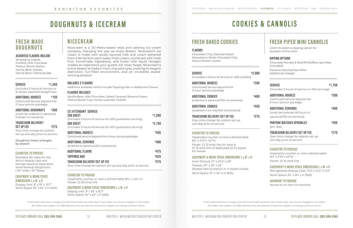# **DOUGHNUTS & ICECREAM**

A 23% Administration Charge and 10% Food Sales Tax & 6% Non-Food Sales Tax will be charged on all orders. All orders are subject to a \$65 Delivery Fee, per delivery. Prices are subject to change without notice.

### Service **\$**1,350

(Includes 2 hours of service or 12 dozen assorted doughnuts)

### Additional Hour(s) **\$**150

*Continued service beyond the 2 hour service package*

### Additional Doughnuts **\$**300

(must be ordered in advance/ 3 dozen increments)

### Tradeshow Delivery/ Set Up Fee **\$**275

*One-time charge for station set up one day prior to service*

#### *Doughnut menu changes by season*

### Exhibitor to Provide

Standard (8') table for the donut display case and storage space to keep store some backup doughnuts. ( 24" wide x 16" Deep)

### Equipment & Work Space Dimensions L x W x H

Display Unit: 9" x 19" x 15.7" Work Space: 16" x 24" x H (N/A)

| (2) ATTENDANT SERVICE                                                        |         |
|------------------------------------------------------------------------------|---------|
| 200 GUEST                                                                    | \$1,900 |
| (Includes 2 hours of service for 200 guests/4oz serving)                     |         |
| <b>400 GUEST</b><br>(Includes 2 hours of service for 400 guests/40z serving) | \$3,150 |
| <b>ADDITIONAL HOUR(S)</b>                                                    | \$265   |
| Continued service beyond the 4 hour service package                          |         |
| <b>ADDITIONAL SERVINGS</b>                                                   | \$400   |
| (ordered in advance/50 increments)                                           |         |
| <b>ADDITIONAL FLAVOR</b>                                                     | \$475   |
| <b>TOPPINGS BAR</b>                                                          | \$625   |
| <b>TRADESHOW DELIVERY/SET UP FEE</b>                                         | \$275   |
| One-time charge for station set up one day prior to service                  |         |

### Exhibitor to Provide

Hospitality counter or rent a skirted table (8') L x W x H Power: (1) 20 amp line

#### Equipment & Work Space Dimensions L x W x H Display Unit: 9" x 19" x 15.7" Work Space: 16" x 24" x H (N/A)

### **NICECREAM**

Nicecream is a DC-Metro-based retail and catering ice cream company changing the way we enjoy dessert. Nicecream's ice cream is made with locally sourced milk and cream delivered from a family farm each week. Fresh cream, combined with fresh fruit, homemade ingredients, and frozen with liquid nitrogen creates an experience your guests will never forget. Nicecream's entire dessert is made in front of guest's eyes, creating an elegant distinction, fun-filled environment, and an incredible awardwinning product.

### Includes 2 Flavors

Additions available which include Toppings Bar or Additional Flavors.

### flavors includes

Vanilla Bean, Milk Chocolate, Salted Caramel, Banana Cream, Peanut Butter Cup, Honey Lavender, Nutella

### **F R E S H M A D E DOUGHNUTS**

### Assorted flavors include

Strawberry Glazed, Funfetti, Milk Chocolate Peanut, Brown Butter, Vanilla Bean Glazed, Vanilla Bean Crème Brûlée

# **COOKIES & CANNOLIS**

A 23% Administration Charge and 10% Food Sales Tax & 6% Non-Food Sales Tax will be charged on all orders. All orders are subject to a \$65 Delivery Fee, per delivery. Prices are subject to change without notice.

| <b>SERVICE</b><br>(Includes 4 hours of service or 400 cookies)                                         | <b>\$2,080</b> |
|--------------------------------------------------------------------------------------------------------|----------------|
| <b>ADDITIONAL HOUR(S)</b><br>Continued service beyond the<br>4 hour service package                    | \$200          |
| <b>ADDITIONAL COOKIES</b><br>(ordered in advance/100 increments)                                       | \$4NN          |
| <b>ADDITIONAL COOKIES</b><br>(ordered in on-site/100 increments)                                       | \$550          |
| <b>TRADESHOW DELIVERY/SET UP FEE</b><br>One-time charge for station set up<br>one day prior to service | <b>\$275</b>   |
| <b>EXHIBITOR TO PROVIDE</b>                                                                            |                |
| Hospitality counter or rent a skirted table<br>$(6'L \times 2'W \times 42''H)$                         |                |
| Power: (1) 10 amp line for oven &<br>(1) 10 amp line of dedicated 24 hr power<br>for freezer           |                |
| EQUIPMENT & WORK SPACE DIMENSIONS L x W x H                                                            |                |

Oven Shroud: 21" x 25.5" x 26" Freezer: 37" x 23" x 34" (Stored next to station or in booth closet) Work Space: 51" x 24" x H (N/A)

### **FRESH PIPED MINI CANNOLIS**

*Client to select a dipping option for duration of the show*

### Dipping Options

Chocolate Morsels & Red/White/Blue Sprinkles (included)

Pantone Matched Sprinkles (additional charge)

### **FRESH BAKED COOKIES**

### **FLAVORS**

Chocolate Chip, Oatmeal Raisin, Macadamia White Chocolate Chip, Peanut Butter Cookie

| <b>SERVICE</b><br>(Includes 2 hours of service or 200 servings)                                        | \$1,750 |
|--------------------------------------------------------------------------------------------------------|---------|
| <b>ADDITIONAL HOUR(S)</b><br>Continued service beyond the<br>2 hour service package                    | \$200   |
| <b>ADDITIONAL SERVINGS</b><br>(must be ordered 48 hours in<br>advance/100 increments)                  | s4NN    |
| <b>PANTONE MATCHED SPRINKLES</b><br>(per day)                                                          | \$2NN   |
| <b>TRADESHOW DELIVERY/SET UP FEE</b><br>One-time charge for station set up<br>one day prior to service | \$275   |

### Exhibitor to Provide

Hospitality counter or rent a skirted table (6'L x 2'W x 42"H) Power: (1) 10 amp line

### Equipment & Work Space Dimensions L x W x H

Refrigerated Display Case: 71.5" x 14.5" x 11.5" Work Space: 24" x 24" x H (N/A)

### Aramark to Provide

Access to on-site ice machine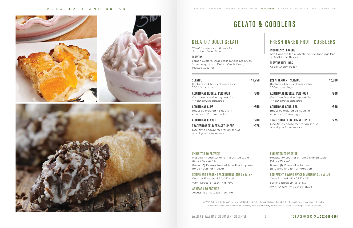

# **GELATO & COBBLERS**

A 23% Administration Charge and 10% Food Sales Tax & 6% Non-Food Sales Tax will be charged on all orders. All orders are subject to a \$65 Delivery Fee, per delivery. Prices are subject to change without notice.

**FLAVORS** Lemon Custard, Stracietella (Chocolate Chip), Strawberry, Brown Butter, Vanilla Bean, Toasted Coconut

| <b>SERVICE</b><br>(Includes 1-4 hours of service or<br>$200 / 40z$ cups)                               | \$1,750 |
|--------------------------------------------------------------------------------------------------------|---------|
| ADDITIONAL HOUR(S) PER HOUR<br>Continued service beyond the<br>4 hour service package                  | \$300   |
| <b>ADDITIONAL CUPS</b><br>(must be ordered 48 hours in<br>advance/100 increments)                      | \$550   |
| <b>ADDITIONAL FLAVOR</b>                                                                               | \$200   |
| <b>TRADESHOW DELIVERY/SET UP FEE</b><br>One-time charge for station set up<br>one day prior to service | \$275   |

### **FRESH BAKED FRUIT COBBLERS**

### Includes 2 Flavors

Additions available which include Toppings Bar or Additional Flavors.

### flavors includes

Apple, Cherry, Peach

### **GELATO / DOLCI GELATI**

*Client to select two flavors for duration of the show*

#### Exhibitor to Provide

Hospitality counter or rent a skirted table (6'L x 2'W x 42"H) Power: (1) 10 amp lines with dedicated power for 24 hours for Freezer

### Equipment & Work Space Dimensions L x W x H

Counter Freezer: 19.3" x 19" x 26" Work Space: 51" x 24" x H (N/A)

Aramark to Provide Access to on-site ice machine

### Exhibitor to Provide

Hospitality counter or rent a skirted table (6'L x 2'W x 42"H) Power: (1) 10 amp line for oven (1) 10 amp line for refrigeration

### Equipment & Work Space Dimensions L x W x H

Oven Shroud: 21" x 25.5" x 26" Serving Block: 24" x 18" x 3" Work Space: 27" x 24" x H (N/A)

| (2) ATTENDANT SERVICE<br>(Includes 4 hours of service for<br>200/4oz serving)                          | \$2,800      |
|--------------------------------------------------------------------------------------------------------|--------------|
| ADDITIONAL HOUR(S) PER HOUR<br>Continued service beyond the<br>4 hour service package                  | \$200        |
| <b>ADDITIONAL COBBLERS</b><br>(must be ordered 96 hours in<br>advance/100 servings)                    | \$650        |
| <b>TRADESHOW DELIVERY/SET UP FEE</b><br>One-time charge for station set up<br>one day prior to service | <b>\$275</b> |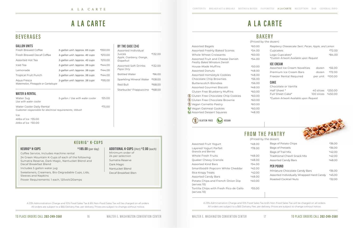A 23% Administration Charge and 10% Food Sales Tax & 6% Non-Food Sales Tax will be charged on all orders. All orders are subject to a \$65 Delivery Fee, per delivery. Prices are subject to change without notice.

### gallon units

| Fresh Brewed Coffee                                | 5-gallon unit /approx. 65 cups | \$350.00 |
|----------------------------------------------------|--------------------------------|----------|
| Fresh Brewed Decaf Coffee                          | 3-gallon unit /approx. 40 cups | \$210.00 |
| Assorted Hot Tea                                   | 3-gallon unit /approx. 40 cups | \$210.00 |
| Iced Tea                                           | 3-gallon unit /approx. 38 cups | 944.00   |
| Lemonade                                           | 3-gallon unit /approx. 38 cups | 944.00   |
| <b>Tropical Fruit Punch</b>                        | 3-gallon unit /approx. 38 cups | 944.00   |
| Aqua Fresca<br>Watermelon, Pineapple or Cantaloupe | 3-gallon unit /approx. 38 cups | \$195.00 |

### water & Rental

| Water Jug<br>Use with water cooler                                                     | 5-gallon / Use with water cooler | \$25.00 |
|----------------------------------------------------------------------------------------|----------------------------------|---------|
| Water Cooler Daily Rental<br>Customer responsible for electrical requirements, 120volt |                                  | \$75.00 |
| <b>Ice</b>                                                                             |                                  |         |
| 40lbs of Ice \$35.00                                                                   |                                  |         |
| 20lbs of Ice \$30.00                                                                   |                                  |         |

**K E U R I G ® K - C U P S** 

### KEURIG<sup>®</sup> K-CUPS \$185.00 (per day)

### By The Case (24)

| Assorted Individual<br>Juices<br>Apple, Cranberry, Orange,<br>Grapefruit | \$132.00 |
|--------------------------------------------------------------------------|----------|
| <b>Assorted Soft Drinks</b><br>Pepsi Only                                | \$132.00 |
| <b>Bottled Water</b>                                                     | \$96.00  |
| Sparkling Mineral Water                                                  | \$108.00 |
| Red Bull                                                                 | \$168.00 |
| Starbucks <sup>®</sup> Frappuccino                                       | \$168.00 |

### Assorted Bagels **Assorted Bagels** 660.00 Assorted Freshly Baked Scones \$54.00

### Additional K-Cups (24ct) **\$**2.00 (each) Minimum order of

24 per selection Sumatra Reserve Dark Magic Nantucket Blend Decaf Breakfast Blen

### Coffee Service, Includes machine rental

24 Green Mountain K-Cups of each of the following: Sumatra Reserve, Dark Magic, Nantucket Blend and Decaf Breakfast Blend

Includes 5 gallon water jug

Sweeteners, Creamers, Bio-Degradable Cups, Lids, Sleeves and Napkins

Power Requirements: 1 each, 120volt/20amps

### **BEVERAGES**

A LA CARTE

### **B A K E R Y**  (Priced by th

| Whole Wheat Croissants                                             | \$60.00 |
|--------------------------------------------------------------------|---------|
| Assorted Fruit and Cheese Danish<br>Freshly Baked Miniature Danish | \$54.00 |
|                                                                    |         |
| House-Made Muffins                                                 | \$50.00 |
| <b>Assorted Donuts</b>                                             | \$48.00 |
| <b>Assorted Homestyle Cookies</b>                                  | \$48.00 |
| Chocolate Chip Brownies                                            | \$56.00 |
| <b>Butterscotch Blondies</b>                                       | \$56.00 |
| Assorted Gourmet Biscotti                                          | \$48.00 |
| <b>Gluten Free Blueberry Muffins</b>                               | \$60.00 |
| Gluten Free Chocolate Chip Cookies                                 | \$60.00 |
| Gluten Free Chocolate Brownie                                      | \$60.00 |
| Vegan Cornetto Pastry                                              | \$60.00 |

Vegan Oatmeal Cookies \$60.00 **Massorted Dessert Squares** \$48.00

GLUTEN FREE (V) VEGAN

# **A LA CARTE**

A 23% Administration Charge and 10% Food Sales Tax & 6% Non-Food Sales Tax will be charged on all orders. All orders are subject to a \$65 Delivery Fee, per delivery. Prices are subject to change without notice.

| Assorted Fruit Yogurt                                  | \$48.00 |
|--------------------------------------------------------|---------|
| Layered Yogurt Parfait<br>Granola and Berries          | \$78.00 |
| Whole Fresh Fruits                                     | \$48.00 |
| Quaker Chewy Granola                                   | \$48.00 |
| Assorted Kind Bars                                     | \$54.00 |
| Smartfood® Popcorn White Cheddar                       | \$42.00 |
| <b>Rice Krispy Treats</b>                              | \$42.00 |
| <b>Assorted Candy Bars</b>                             | \$48.00 |
| Potato Chips and French Onion Dip<br>(serves 10)       | \$40.00 |
| Tortilla Chips with Fresh Pico de Gallo<br>(serves 10) | \$55.00 |

| าe dozen)                                                       |          |          |
|-----------------------------------------------------------------|----------|----------|
| Raspberry Cheesecake Swirl, Pecan, Apple, and Lemon             |          |          |
| Cupcakes                                                        |          | \$72.00  |
| Logo Cupcakes*<br><i>*Custom Artwork Available upon Request</i> |          | \$84.00  |
| <b>ICE CREAM</b>                                                |          |          |
| Assorted Ice Cream Novelties                                    | dozen    | \$56.00  |
| Premium Ice Cream Bars                                          | dozen    | \$72.00  |
| Freezer Rental Required                                         | per unit | \$100.00 |

### cake

| Chocolate or Vanilla                   |                     |  |
|----------------------------------------|---------------------|--|
| Half Sheet *                           | 40 slices \$250.00  |  |
| Full Sheet Cake*                       | 100 slices \$450.00 |  |
| *Custom Artwork Available upon Request |                     |  |

| Bags of Potato Chips                     | \$36.00 |
|------------------------------------------|---------|
| <b>Bags of Pretzels</b>                  | \$36.00 |
| Bags of Trail Mix                        | \$42 OO |
| Traditional Chex® Snack Mix              | \$42.00 |
| <b>Assorted Candy Bars</b>               | \$48.00 |
| <b>PER POUND</b>                         |         |
| Miniature Chocolate Candy Bars           | \$36.00 |
| Assorted Individually Wrapped Hard Candy | \$45.00 |
|                                          |         |

Roasted Cocktail Nuts **\$32.00** 

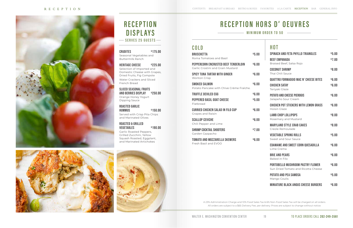# **R E C E P T I O N DISPLAYS**

 $-$  SERVES 25 GUESTS $-$ 

A 23% Administration Charge and 10% Food Sales Tax & 6% Non-Food Sales Tax will be charged on all orders. All orders are subject to a \$65 Delivery Fee, per delivery. Prices are subject to change without notice.

| <b>CRUDITES</b>         | \$175.00 |
|-------------------------|----------|
| Seasonal Vegetables and |          |
| <b>Buttermilk Ranch</b> |          |

Heritage Cheese **\$**225.00 Selection of Imported and Domestic Cheese with Grapes, Dried Fruits, Fig Compote Water Crackers and Sliced French Bread

### Sliced Seasonal Fruits and Berries Display **\$**250.00

Orange Honey Yogurt Dipping Sauce

### Roasted Garlic Hummus **\$**150.00

Served with Crisp Pita Chips and Marinated Olives

### Roasted & Grilled Vegetables **\$**190.00

Garlic Roasted Peppers, Grilled Zucchini, Yellow Squash Roasted, Eggplant, and Marinated Artichokes



# **RECEPTION HORS D' OEUVRES**

### **COLD**

| <b>BRUSCHETTA</b><br>Roma Tomatoes and Basil                              | \$5.00 |
|---------------------------------------------------------------------------|--------|
| PEPPERCORN ENCRUSTED BEEF TENDERLOIN<br>Garlic Crostini and Grain Mustard | \$6.00 |
| <b>SPICY TUNA TARTAR WITH GINGER</b><br><b>Wonton Crisp</b>               | \$6.00 |
| <b>SMOKED SALMON</b><br>Potato Pancake with Chive Crème Fraîche.          | \$6.00 |
| <b>TRUFFLE DEVILED EGG</b>                                                | \$6.00 |
| <b>PEPPERED BASIL GOAT CHEESE</b><br>Flathread                            | \$5.00 |
| <b>CURRIED CHICKEN SALAD IN FILO CUP</b><br><b>Grapes and Raisin</b>      | \$6.00 |
| <b>SCALLOP CEVICHE</b><br>Chili Pepper and Lime                           | \$6.00 |
| <b>SHRIMP COCKTAIL SHOOTERS</b><br>Garden Gazpacho                        | \$7.00 |
| <b>TOMATO AND MOZZARELLA SKEWERS</b><br>Fresh Basil and EVOO              | \$6.00 |

| HOT                                                                      |        |
|--------------------------------------------------------------------------|--------|
| <b>SPINACH AND FETA PHYLLO TRIANGLES</b>                                 | \$5.00 |
| <b>BEEF EMPANADA</b><br>Braised Beef, Salsa Rojo                         | \$7.00 |
| <b>COCONUT SHRIMP</b><br>Thai Chili Sauce                                | \$8.00 |
| <b>QUATTRO FORMAGGIO MAC N' CHEESE BITES</b>                             | \$6.00 |
| <b>CHICKEN SATAY</b><br>Teriyaki Glaze                                   | \$6.00 |
| <b>POTATO AND CHEESE PIEROGIS</b><br>Jalapeño Sour Cream                 | \$6.00 |
| <b>CHICKEN POT STICKERS WITH LEMON GRASS</b><br>Hoisin Glaze             | \$6.00 |
| <b>LAMB CHOP LOLLIPOPS</b><br>Rosemary and Mustard                       | \$8.00 |
| <b>MARYLAND STYLE CRAB CAKES</b><br>Creole Remoulade                     | \$8.00 |
| <b>VEGETABLE SPRING ROLLS</b><br>Sweet and Sour Sauce                    | \$5.00 |
| <b>EDAMAME AND SWEET CORN QUESADILLA</b><br>Lime Crema                   | \$6.00 |
| <b>BRIE AND PEARS</b><br>Baked in Filo                                   | \$6.00 |
| PORTOBELLO MUSHROOM PASTRY FLOWER<br>Sun Dried Tomato and Ricotta Cheese | \$6.00 |
| <b>POTATO AND PEA SAMOSA</b><br>Mango Coulis                             | \$5.00 |
| <b>MINIATURE BLACK ANGUS CHEESE BURGERS</b>                              | \$6.00 |
|                                                                          |        |





MINIMUM ORDER TO 50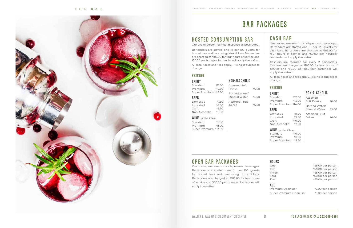# **BAR PACKAGES**

#### THE BAR



Our onsite personnel must dispense all beverages.

Standard \$11.50 Premium \$12.50 Super Premium \$13.50

#### **BEER**

Domestic \$7.50 Imported \$8.50  $Craft$   $$9.50$ Non-Alcoholic \$6.50

Bartenders are staffed one (1) per 100 guests for hosted bars and bars using drink tickets. Bartenders are charged at \$185.00 for four hours of service and \$50.00 per hour/per bartender will apply thereafter.

Standard \$9.50 Premium \$11.00 Super Premium \$12.00

All local taxes and fees apply. Pricing is subject to change.

### **PRICING**

### **SPIRIT**

### **HOSTED CONSUMPTION BAR**

#### **WINE** by the Glass Standard \$10.00 Premium \$11.50 Super Premium \$12.50

Assorted Soft Drinks \$5.50 Bottled Water/ Mineral Water \$4.50 Assorted Fruit Juices \$5.50

#### **WINE** by the Glass

### **CASH BAR**

Our onsite personnel must dispense all beverages. Bartenders are staffed one (1) per 125 guests for cash bars. Bartenders are charged at \$185.00 for four hours of service and \$50.00 per hour/per bartender will apply thereafter.

Cashiers are required for every 2 bartenders. Cashiers are charged at \$185.00 for four hours of service and \$50.00 per hour/per bartender will apply thereafter.

All local taxes and fees apply. Pricing is subject to change.

### **PRICING**

### **SPIRIT**

| Standard              | \$12.00  |
|-----------------------|----------|
| Premium               | \$1,3.00 |
| Super Premium \$14.00 |          |

### beer

| \$8.00  |
|---------|
| 9.00    |
| \$10.00 |
| \$7.00  |
|         |

### Non-Alcoholic

### Non-Alcoholic

| Assorted                        |        |
|---------------------------------|--------|
| Soft Drinks                     | \$6.00 |
| Bottled Water/<br>Mineral Water | \$5.00 |
| <b>Assorted Fruit</b><br>Juices | \$6.00 |

### **HOURS**

| One   |
|-------|
| Two   |
| Three |
| Four  |
| Five  |
|       |

### **OPEN BAR PACKAGES**

Our onsite personnel must dispense all beverages. Bartender are staffed one (1) per 100 guests for hosted bars and bars using drink tickets. Bartenders are charged at \$185.00 for four hours of service and \$50.00 per hour/per bartender will apply thereafter.

### ADD

Premium Open Bar \$2.00 per person Super Premium Open Bar \$5.00 per person

\$25.00 per person \$50.00 per person \$55.00 per person \$60.00 per person \$65.00 per person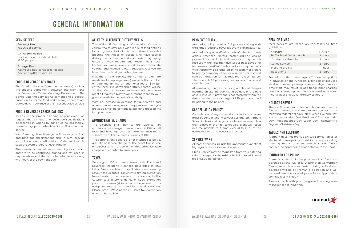### Payment Policy

Aramark's policy requires full payment along with the signed food and beverage event plan in advance.

Aramark accepts certified or cashier's checks, money orders, American Express, MasterCard and Visa as payment for products and services. If payment is received within less than five (5) business days prior to the event, certified funds, credit card payment or a wire transfer will be required. If the customer prefers to pay by company check or wire transfer, a credit card authorization form is required to facilitate onsite orders. A 3% processing fee applies to all credit card charges.

**China Service Fee** For Events in the Exhibit Halls \$3.00 per person

> All remaining charges, including additional charges incurred on site are due within 30 days of the date of your invoice. If payment is not received within the time specified, a late charge of 1.5% per month will be added to the balance.

### Cancellation Policy

Cancellation of any convention or individual event must be sent in writing to your designated Aramark Sales Professional. Any cancellation received less than 3 days of the first scheduled event will result in a fee payable to Aramark equal to 100% of the estimated food and beverage charges

### SERVICE WARE

All booth services include the appropriate variety of high-grade disposable service ware.

China Service may be requested from your catering sales manager for the exhibit halls for an additional fee of \$3.00 per person

### SERVICE FEES

**Delivery Fee**  \$65.00 per Service

**Storage Fee** Ask your Sales Manager for details \$75 per day/flat, minimum

### Food & Beverage Contract

The Catering Services Agreement (contract) outlines the specific agreement between the client and the Convention Center Catering Department. The signed Catering Services Agreement and a deposit based on estimated food and beverage charges are due 60 days in advance of the first scheduled service.

### Food & Beverage Specifications

To ensure the proper planning of your event, we request that all food and beverage specifications be received in writing by our office no less than 21 business days prior to the date of your first scheduled service.

Your Catering Sales Manager will review your food and beverage specifications and, in turn, provide you with written confirmation of the services via separate event orders for each function.

These event orders will form part of your contract and are to be confirmed, signed and returned 14 days in advance of the first scheduled service along with 100% of the payment due.

### Service Times

The administrative charge is not intended to be tip. gratuity, or service charge for the benefit of service employees and no portion of this administrative charge is distributed to employees.

### **TAXES**

Meal services are based on the following time guidelines

| <b>SERVICE</b>                   | <b>HOURS</b> |
|----------------------------------|--------------|
| <b>Buffet Breakfast or Lunch</b> | 2 hours      |
| Continental Breakfast            | 2 hours      |
| Coffee Service                   | 2 hours      |
| <b>Meeting Breaks</b>            | 1 hour       |
| Receptions                       | 2 hours      |

Seated or buffet meals require 2 hours setup time in advance of the function. Extended or reduced service times, early set-up times, or delays in service time start may result in additional labor charges. Functions requiring continuous (all-day) service will incur a labor charge for the service hours

### Holiday Service

There will be an automatic additional labor fee for food and beverage service or preparatory days on the following federal holidays: New Year's Eve and Day, Martin Luther King Day, Presidents' Day, Memorial Day, Independence Day, Labor Day, Thanksgiving Day and Christmas Day.

### Tables and Electric

Aramark does not provide skirted service tables or electrical hook-ups in your exhibit space, including meeting rooms used for exhibit space. Please contact the appropriate contractor for these items.

### Exhibitor F&B policy

Aramark is the exclusive provider of all food and beverage at the Walter E. Washington Convention Center. As such, any requests to bring in food and beverage will be at Aramark's discretion and will be considered on a case-by-case basis. Appropriate corkage fees will apply.

Please consult with your designated catering sales manager concerning this.



### Allergy, Alternate Dietary Meals

The Walter E. Washington Convention Centre is committed to offering a wide range of food options for our guests. Part of this commitment includes meeting the needs of guests who have special dietary restrictions. Additional costs may apply based on meal requirement (Kosher, Halal). Our kitchen will make every effort to accommodate cultural and medical dietary requests received no later than the final guarantee deadline.

If at the time of service, the number of alternate meals (including vegetarian) exceeds the number on your dietary list, an additional fee of \$40 per entrée (exclusive of tax and gratuity charge) will be applied. We cannot guarantee we will be able to meet all requests, but we will attempt to satisfy your guests' needs to the best of our ability.

With an increase in demand for gluten-free and wheat-free requests, we strongly recommend you provide a small percentage by building these items into your order.

### Administrative Charge

The Licensee shall pay to the Licensor an administrative charge in an amount of 23% on all food and beverage charges. Administrative fee is subject to applicable taxes currently at 10%.

Washington DC currently taxes both Food and Beverage including Alcoholic Beverages at 10%. Labor fees are subject to applicable taxes currently at 6%. If the Licensee is an entity claiming exemption from taxation, the Licensee must deliver to the Caterer satisfactory evidence of such exemption prior to the event(s) in order to be relieved of its obligation to pay state and local retail sales tax. Please note: Washington DC sales tax exemption only can be applied.

# **GENERAL INFORMATION**